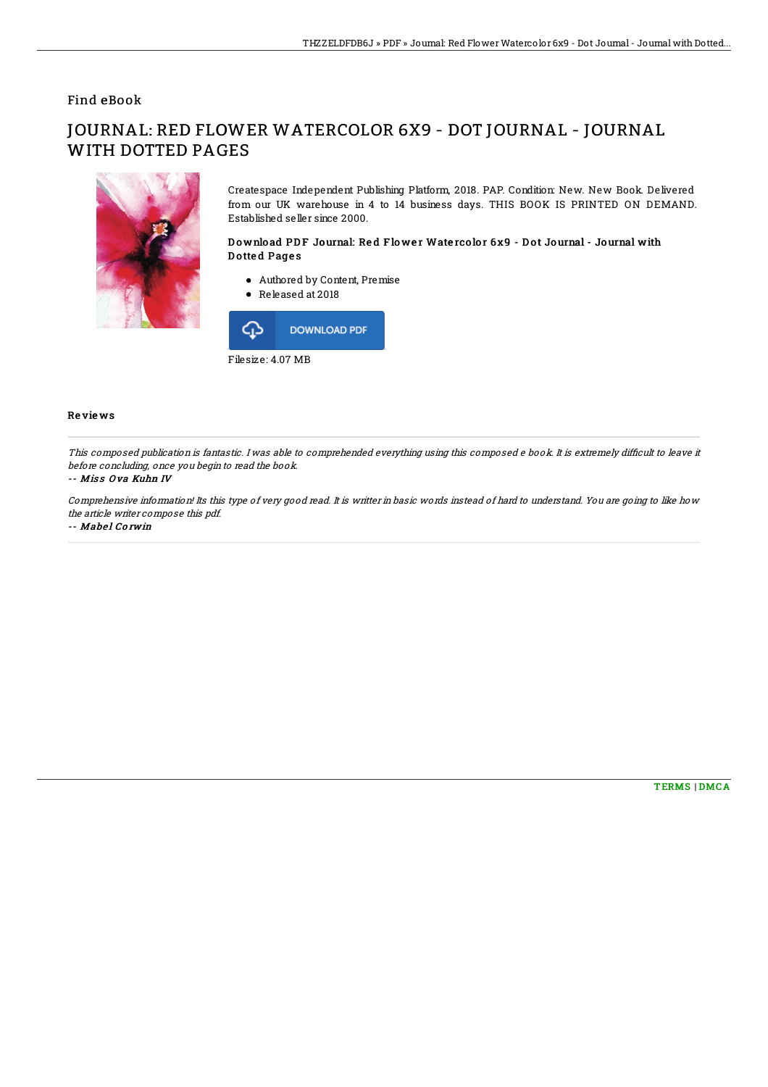## Find eBook

# JOURNAL: RED FLOWER WATERCOLOR 6X9 - DOT JOURNAL - JOURNAL WITH DOTTED PAGES



Createspace Independent Publishing Platform, 2018. PAP. Condition: New. New Book. Delivered from our UK warehouse in 4 to 14 business days. THIS BOOK IS PRINTED ON DEMAND. Established seller since 2000.

### Download PDF Journal: Red Flower Watercolor 6x9 - Dot Journal - Journal with Dotted Pages

- Authored by Content, Premise
- Released at 2018



#### Re vie ws

This composed publication is fantastic. I was able to comprehended everything using this composed e book. It is extremely difficult to leave it before concluding, once you begin to read the book.

#### -- Miss Ova Kuhn IV

Comprehensive information! Its this type of very good read. It is writter in basic words instead of hard to understand. You are going to like how the article writer compose this pdf.

-- Mabel Corwin